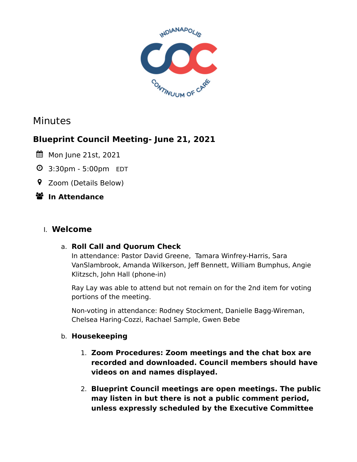

# Minutes

# **Blueprint Council Meeting- June 21, 2021**

- **前 Mon June 21st, 2021**
- 3:30pm 5:00pm EDT
- Zoom (Details Below)

# **In Attendance**

# I. **Welcome**

### a. **Roll Call and Quorum Check**

In attendance: Pastor David Greene, Tamara Winfrey-Harris, Sara VanSlambrook, Amanda Wilkerson, Jeff Bennett, William Bumphus, Angie Klitzsch, John Hall (phone-in)

Ray Lay was able to attend but not remain on for the 2nd item for voting portions of the meeting.

Non-voting in attendance: Rodney Stockment, Danielle Bagg-Wireman, Chelsea Haring-Cozzi, Rachael Sample, Gwen Bebe

### b. **Housekeeping**

- 1. **Zoom Procedures: Zoom meetings and the chat box are recorded and downloaded. Council members should have videos on and names displayed.**
- 2. **Blueprint Council meetings are open meetings. The public may listen in but there is not a public comment period, unless expressly scheduled by the Executive Committee**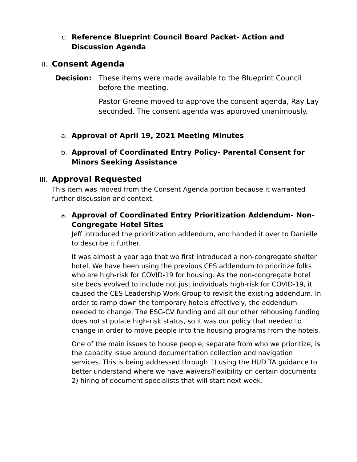## c. **Reference Blueprint Council Board Packet- Action and Discussion Agenda**

# II. **Consent Agenda**

**Decision:** These items were made available to the Blueprint Council before the meeting.

> Pastor Greene moved to approve the consent agenda, Ray Lay seconded. The consent agenda was approved unanimously.

- a. **Approval of April 19, 2021 Meeting Minutes**
- b. **Approval of Coordinated Entry Policy- Parental Consent for Minors Seeking Assistance**

# III. **Approval Requested**

This item was moved from the Consent Agenda portion because it warranted further discussion and context.

a. **Approval of Coordinated Entry Prioritization Addendum- Non-Congregate Hotel Sites**

Jeff introduced the prioritization addendum, and handed it over to Danielle to describe it further.

It was almost a year ago that we first introduced a non-congregate shelter hotel. We have been using the previous CES addendum to prioritize folks who are high-risk for COVID-19 for housing. As the non-congregate hotel site beds evolved to include not just individuals high-risk for COVID-19, it caused the CES Leadership Work Group to revisit the existing addendum. In order to ramp down the temporary hotels effectively, the addendum needed to change. The ESG-CV funding and all our other rehousing funding does not stipulate high-risk status, so it was our policy that needed to change in order to move people into the housing programs from the hotels.

One of the main issues to house people, separate from who we prioritize, is the capacity issue around documentation collection and navigation services. This is being addressed through 1) using the HUD TA guidance to better understand where we have waivers/flexibility on certain documents 2) hiring of document specialists that will start next week.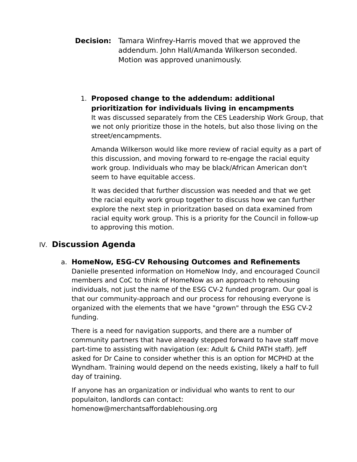- **Decision:** Tamara Winfrey-Harris moved that we approved the addendum. John Hall/Amanda Wilkerson seconded. Motion was approved unanimously.
	- 1. **Proposed change to the addendum: additional prioritization for individuals living in encampments**

It was discussed separately from the CES Leadership Work Group, that we not only prioritize those in the hotels, but also those living on the street/encampments.

Amanda Wilkerson would like more review of racial equity as a part of this discussion, and moving forward to re-engage the racial equity work group. Individuals who may be black/African American don't seem to have equitable access.

It was decided that further discussion was needed and that we get the racial equity work group together to discuss how we can further explore the next step in prioritzation based on data examined from racial equity work group. This is a priority for the Council in follow-up to approving this motion.

# IV. **Discussion Agenda**

### a. **HomeNow, ESG-CV Rehousing Outcomes and Refinements**

Danielle presented information on HomeNow Indy, and encouraged Council members and CoC to think of HomeNow as an approach to rehousing individuals, not just the name of the ESG CV-2 funded program. Our goal is that our community-approach and our process for rehousing everyone is organized with the elements that we have "grown" through the ESG CV-2 funding.

There is a need for navigation supports, and there are a number of community partners that have already stepped forward to have staff move part-time to assisting with navigation (ex: Adult & Child PATH staff). Jeff asked for Dr Caine to consider whether this is an option for MCPHD at the Wyndham. Training would depend on the needs existing, likely a half to full day of training.

If anyone has an organization or individual who wants to rent to our populaiton, landlords can contact: homenow@merchantsaffordablehousing.org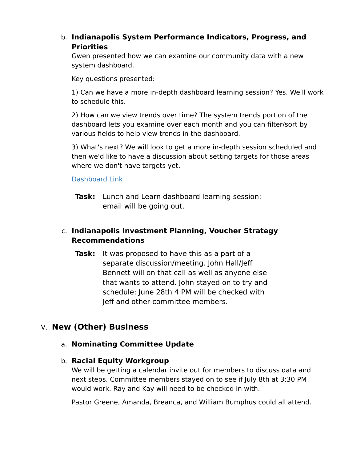# b. **Indianapolis System Performance Indicators, Progress, and Priorities**

Gwen presented how we can examine our community data with a new system dashboard.

Key questions presented:

1) Can we have a more in-depth dashboard learning session? Yes. We'll work to schedule this.

2) How can we view trends over time? The system trends portion of the dashboard lets you examine over each month and you can filter/sort by various fields to help view trends in the dashboard.

3) What's next? We will look to get a more in-depth session scheduled and then we'd like to have a discussion about setting targets for those areas where we don't have targets yet.

#### [Dashboard Link](https://public.tableau.com/views/SystemPerformanceDashboard_16215533604610/SystemPerformanceDashboard?:language=en-US&:display_count=n&:origin=viz_share_link)

**Task:** Lunch and Learn dashboard learning session: email will be going out.

# c. **Indianapolis Investment Planning, Voucher Strategy Recommendations**

**Task:** It was proposed to have this as a part of a separate discussion/meeting. John Hall/Jeff Bennett will on that call as well as anyone else that wants to attend. John stayed on to try and schedule: June 28th 4 PM will be checked with Jeff and other committee members.

# V. **New (Other) Business**

### a. **Nominating Committee Update**

#### b. **Racial Equity Workgroup**

We will be getting a calendar invite out for members to discuss data and next steps. Committee members stayed on to see if July 8th at 3:30 PM would work. Ray and Kay will need to be checked in with.

Pastor Greene, Amanda, Breanca, and William Bumphus could all attend.